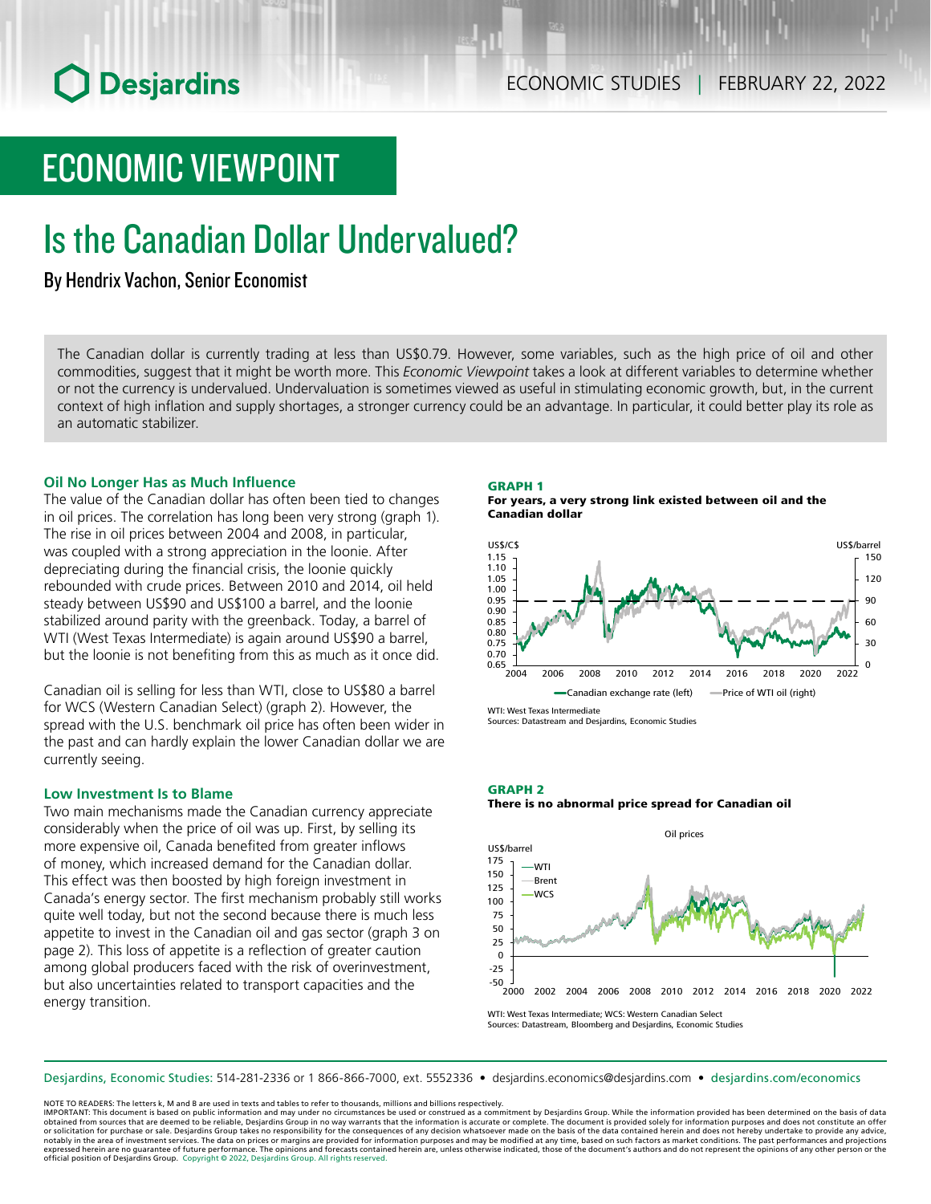# ECONOMIC VIEWPOINT

# Is the Canadian Dollar Undervalued?

By Hendrix Vachon, Senior Economist

The Canadian dollar is currently trading at less than US\$0.79. However, some variables, such as the high price of oil and other commodities, suggest that it might be worth more. This *Economic Viewpoint* takes a look at different variables to determine whether or not the currency is undervalued. Undervaluation is sometimes viewed as useful in stimulating economic growth, but, in the current context of high inflation and supply shortages, a stronger currency could be an advantage. In particular, it could better play its role as an automatic stabilizer.

## **Oil No Longer Has as Much Influence**

The value of the Canadian dollar has often been tied to changes in oil prices. The correlation has long been very strong (graph 1). The rise in oil prices between 2004 and 2008, in particular, was coupled with a strong appreciation in the loonie. After depreciating during the financial crisis, the loonie quickly rebounded with crude prices. Between 2010 and 2014, oil held steady between US\$90 and US\$100 a barrel, and the loonie stabilized around parity with the greenback. Today, a barrel of WTI (West Texas Intermediate) is again around US\$90 a barrel, but the loonie is not benefiting from this as much as it once did.

Canadian oil is selling for less than WTI, close to US\$80 a barrel for WCS (Western Canadian Select) (graph 2). However, the spread with the U.S. benchmark oil price has often been wider in the past and can hardly explain the lower Canadian dollar we are currently seeing.

## **Low Investment Is to Blame**

Two main mechanisms made the Canadian currency appreciate considerably when the price of oil was up. First, by selling its more expensive oil, Canada benefited from greater inflows of money, which increased demand for the Canadian dollar. This effect was then boosted by high foreign investment in Canada's energy sector. The first mechanism probably still works quite well today, but not the second because there is much less appetite to invest in the Canadian oil and gas sector (graph 3 on page 2). This loss of appetite is a reflection of greater caution among global producers faced with the risk of overinvestment, but also uncertainties related to transport capacities and the energy transition.

## GRAPH 1

For years, a very strong link existed between oil and the Canadian dollar



WTI: West Texas Intermediate Sources: Datastream and Desjardins, Economic Studies

## GRAPH 2 There is no abnormal price spread for Canadian oil



Sources: Datastream, Bloomberg and Desjardins, Economic Studies

Desjardins, Economic Studies: 514‑281‑2336 or 1 866‑866‑7000, ext. 5552336 • desjardins.economics@desjardins.com • [desjardins.com/economics](http://desjardins.com/economics)

NOTE TO READERS: The letters k, M and B are used in texts and tables to refer to thousands, millions and billions respectively.

IMPORTANT: This document is based on public information and may under no circumstances be used or construed as a commitment by Desjardins Group. While the information provided has been determined on the basis of data obtained from sources that are deemed to be reliable, Desjardins Group in no way warrants that the information is accurate or complete. The document is provided solely for information purposes and does not constitute an of notably in the area of investment services. The data on prices or margins are provided for information purposes and may be modified at any time, based on such factors as market conditions. The past performances and project expressed herein are no guarantee of future performance. The opinions and forecasts contained herein are, unless otherwise indicated, those of the document's authors and do not represent the opinions of any other person or official position of Desjardins Group. Copyright © 2022, Desjardins Group. All rights reserved.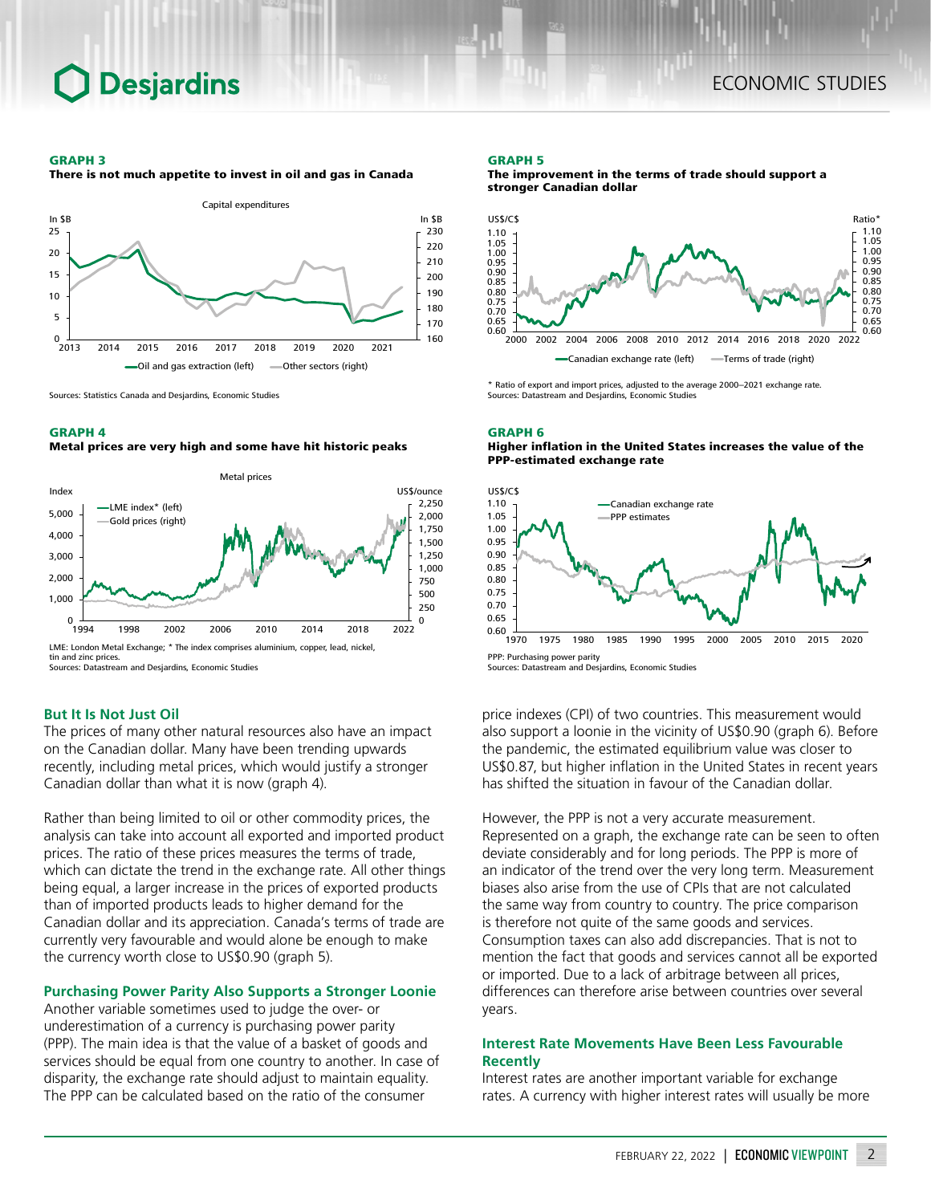## **Desjardins**

#### GRAPH 3

There is not much appetite to invest in oil and gas in Canada



Sources: Statistics Canada and Desjardins, Economic Studies

#### GRAPH 4

#### Metal prices are very high and some have hit historic peaks



Sources: Datastream and Desjardins, Economic Studies

## **But It Is Not Just Oil**

The prices of many other natural resources also have an impact on the Canadian dollar. Many have been trending upwards recently, including metal prices, which would justify a stronger Canadian dollar than what it is now (graph 4).

Rather than being limited to oil or other commodity prices, the analysis can take into account all exported and imported product prices. The ratio of these prices measures the terms of trade, which can dictate the trend in the exchange rate. All other things being equal, a larger increase in the prices of exported products than of imported products leads to higher demand for the Canadian dollar and its appreciation. Canada's terms of trade are currently very favourable and would alone be enough to make the currency worth close to US\$0.90 (graph 5).

## **Purchasing Power Parity Also Supports a Stronger Loonie**

Another variable sometimes used to judge the over- or underestimation of a currency is purchasing power parity (PPP). The main idea is that the value of a basket of goods and services should be equal from one country to another. In case of disparity, the exchange rate should adjust to maintain equality. The PPP can be calculated based on the ratio of the consumer

#### GRAPH 5





\* Ratio of export and import prices, adjusted to the average 2000–2021 exchange rate. Sources: Datastream and Desjardins, Economic Studies

#### GRAPH 6 Higher inflation in the United States increases the value of the PPP-estimated exchange rate



Sources: Datastream and Desjardins, Economic Studies

price indexes (CPI) of two countries. This measurement would also support a loonie in the vicinity of US\$0.90 (graph 6). Before the pandemic, the estimated equilibrium value was closer to US\$0.87, but higher inflation in the United States in recent years has shifted the situation in favour of the Canadian dollar.

However, the PPP is not a very accurate measurement. Represented on a graph, the exchange rate can be seen to often deviate considerably and for long periods. The PPP is more of an indicator of the trend over the very long term. Measurement biases also arise from the use of CPIs that are not calculated the same way from country to country. The price comparison is therefore not quite of the same goods and services. Consumption taxes can also add discrepancies. That is not to mention the fact that goods and services cannot all be exported or imported. Due to a lack of arbitrage between all prices, differences can therefore arise between countries over several years.

## **Interest Rate Movements Have Been Less Favourable Recently**

Interest rates are another important variable for exchange rates. A currency with higher interest rates will usually be more